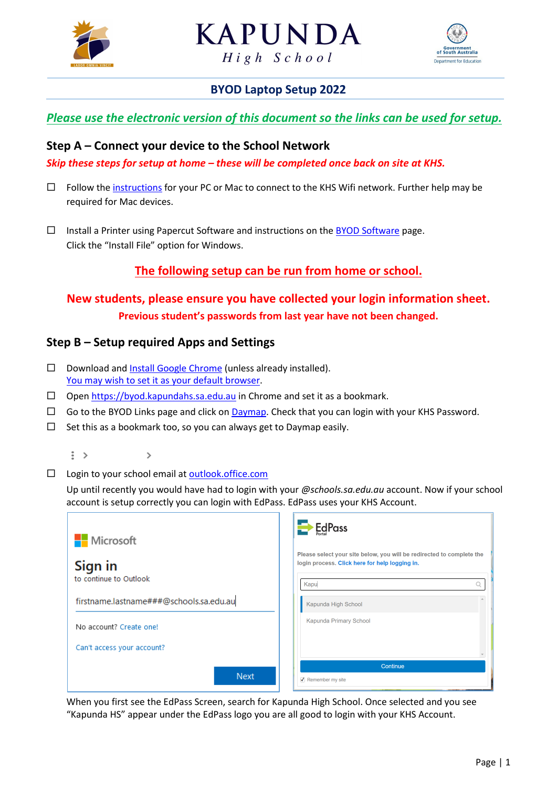





## **BYOD Laptop Setup 2022**

## *Please use the electronic version of this document so the links can be used for setup.*

### **Step A – Connect your device to the School Network**

*Skip these steps for setup at home – these will be completed once back on site at KHS.*

- $\Box$  Follow th[e instructions](https://byod.kapundahs.sa.edu.au/connect.html) for your PC or Mac to connect to the KHS Wifi network. Further help may be required for Mac devices.
- $\Box$  Install a Printer using Papercut Software and instructions on the [BYOD Software](https://byod.kapundahs.sa.edu.au/swPapercut.html) page. Click the "Install File" option for Windows.

## **The following setup can be run from home or school.**

# **New students, please ensure you have collected your login information sheet. Previous student's passwords from last year have not been changed.**

### **Step B – Setup required Apps and Settings**

- $\square$  Download an[d Install Google Chrome](https://www.google.com.au/chrome/) (unless already installed). [You may wish to set it as your default browser.](https://support.google.com/chrome/answer/95417?co=GENIE.Platform%3DDesktop&hl=en&oco=0)
- $\Box$  Open [https://byod.kapundahs.sa.edu.au](https://byod.kapundahs.sa.edu.au/) in Chrome and set it as a bookmark.
- $\Box$  Go to the BYOD Links page and click o[n Daymap.](https://daymap.kapundahs.sa.edu.au/daymap) Check that you can login with your KHS Password.
- $\Box$  Set this as a bookmark too, so you can always get to Daymap easily.

 $\vdots$ )

 $\square$  Login to your school email at outlook.office.com

 $\mathbf{v}$ 

Up until recently you would have had to login with your *@schools.sa.edu.au* account. Now if your school account is setup correctly you can login with EdPass. EdPass uses your KHS Account.



When you first see the EdPass Screen, search for Kapunda High School. Once selected and you see "Kapunda HS" appear under the EdPass logo you are all good to login with your KHS Account.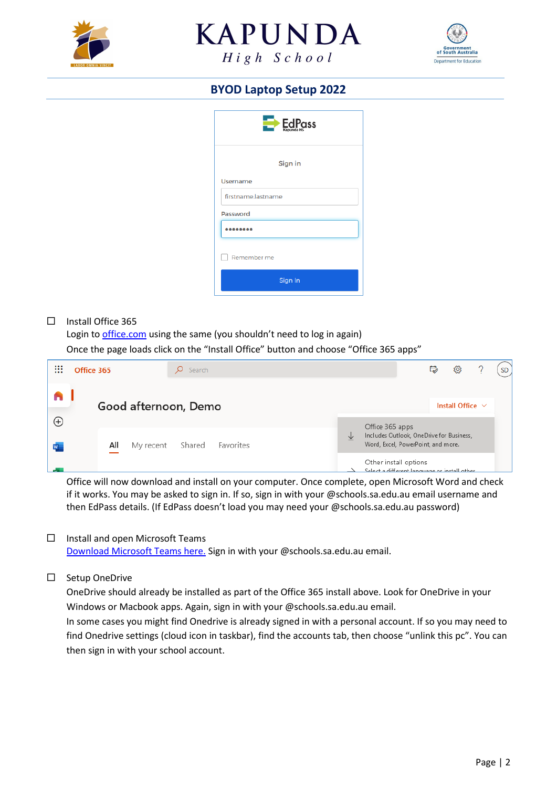





# **BYOD Laptop Setup 2022**

| $E_{\text{scoundals}}$ |  |  |  |  |  |  |
|------------------------|--|--|--|--|--|--|
| Sign in                |  |  |  |  |  |  |
| <b>Username</b>        |  |  |  |  |  |  |
| firstname.lastname     |  |  |  |  |  |  |
| Password               |  |  |  |  |  |  |
|                        |  |  |  |  |  |  |
| Remember me            |  |  |  |  |  |  |
| Sign In                |  |  |  |  |  |  |

#### $\Box$  Install Office 365

Login to [office.com](https://office.com/) using the same (you shouldn't need to log in again) Once the page loads click on the "Install Office" button and choose "Office 365 apps"

| ∷<br>$\cdots$ | Office 365                                                                                                                                        | Search |  |  |                                                                        | ₿ | ु                     | <b>SD</b> |
|---------------|---------------------------------------------------------------------------------------------------------------------------------------------------|--------|--|--|------------------------------------------------------------------------|---|-----------------------|-----------|
|               | Good afternoon, Demo                                                                                                                              |        |  |  |                                                                        |   | Install Office $\vee$ |           |
| ⊕             |                                                                                                                                                   |        |  |  |                                                                        |   |                       |           |
| W             | Office 365 apps<br>Includes Outlook, OneDrive for Business,<br>业<br>Word, Excel, PowerPoint, and more.<br>All<br>Shared<br>Favorites<br>My recent |        |  |  |                                                                        |   |                       |           |
|               |                                                                                                                                                   |        |  |  | Other install options<br>Select a different language or install other. |   |                       |           |

Office will now download and install on your computer. Once complete, open Microsoft Word and check if it works. You may be asked to sign in. If so, sign in with your @schools.sa.edu.au email username and then EdPass details. (If EdPass doesn't load you may need your @schools.sa.edu.au password)

#### $\Box$  Install and open Microsoft Teams

[Download Microsoft Teams here.](https://www.microsoft.com/en-au/microsoft-teams/download-app) Sign in with your @schools.sa.edu.au email.

#### □ Setup OneDrive

OneDrive should already be installed as part of the Office 365 install above. Look for OneDrive in your Windows or Macbook apps. Again, sign in with your @schools.sa.edu.au email.

In some cases you might find Onedrive is already signed in with a personal account. If so you may need to find Onedrive settings (cloud icon in taskbar), find the accounts tab, then choose "unlink this pc". You can then sign in with your school account.